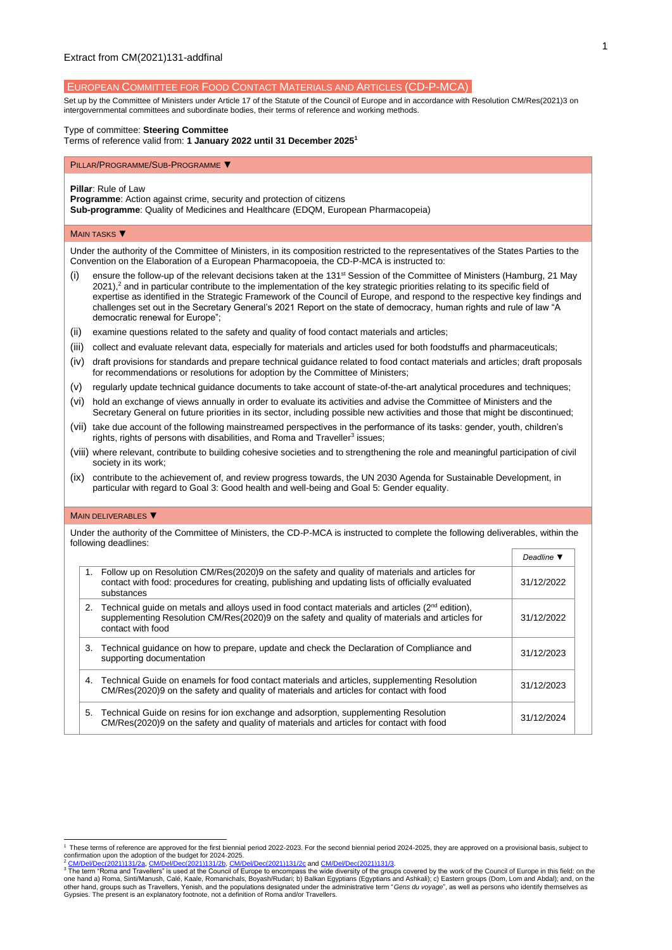EUROPEAN COMMITTEE FOR FOOD CONTACT MATERIALS AND ARTICLES (CD-P-MCA)

Set up by the Committee of Ministers under Article 17 of the Statute of the Council of Europe and in accordance with Resolutio[n CM/Res\(2021\)3](https://search.coe.int/cm/Pages/result_details.aspx?Reference=CM/Res(2011)24) on intergovernmental committees and subordinate bodies, their terms of reference and working methods.

## Type of committee: **Steering Committee**

Terms of reference valid from: **1 January 2022 until 31 December 2025<sup>1</sup>**

#### PILLAR/PROGRAMME/SUB-PROGRAMME ▼

**Pillar**: Rule of Law

**Programme**: Action against crime, security and protection of citizens

**Sub-programme**: Quality of Medicines and Healthcare (EDQM, European Pharmacopeia)

#### **MAIN TASKS** ▼

Under the authority of the Committee of Ministers, in its composition restricted to the representatives of the States Parties to the Convention on the Elaboration of a European Pharmacopoeia, the CD-P-MCA is instructed to:

- (i) ensure the follow-up of the relevant decisions taken at the 131st Session of the Committee of Ministers (Hamburg, 21 May  $2021$ ),<sup>2</sup> and in particular contribute to the implementation of the key strategic priorities relating to its specific field of expertise as identified in the Strategic Framework of the Council of Europe, and respond to the respective key findings and challenges set out in the Secretary General's 2021 Report on the state of democracy, human rights and rule of law "A democratic renewal for Europe";
- (ii) examine questions related to the safety and quality of food contact materials and articles;
- (iii) collect and evaluate relevant data, especially for materials and articles used for both foodstuffs and pharmaceuticals;
- (iv) draft provisions for standards and prepare technical guidance related to food contact materials and articles; draft proposals for recommendations or resolutions for adoption by the Committee of Ministers;
- (v) regularly update technical guidance documents to take account of state-of-the-art analytical procedures and techniques;
- (vi) hold an exchange of views annually in order to evaluate its activities and advise the Committee of Ministers and the Secretary General on future priorities in its sector, including possible new activities and those that might be discontinued;
- (vii) take due account of the following mainstreamed perspectives in the performance of its tasks: gender, youth, children's rights, rights of persons with disabilities, and Roma and Traveller<sup>3</sup> issues;
- (viii) where relevant, contribute to building cohesive societies and to strengthening the role and meaningful participation of civil society in its work;
- (ix) contribute to the achievement of, and review progress towards, the UN 2030 Agenda for Sustainable Development, in particular with regard to Goal 3: Good health and well-being and Goal 5: Gender equality.

## MAIN DELIVERABLES ▼

Under the authority of the Committee of Ministers, the CD-P-MCA is instructed to complete the following deliverables, within the following deadlines:

|    |                                                                                                                                                                                                                             | Deadline $\P$ |
|----|-----------------------------------------------------------------------------------------------------------------------------------------------------------------------------------------------------------------------------|---------------|
| 1. | Follow up on Resolution CM/Res(2020)9 on the safety and quality of materials and articles for<br>contact with food: procedures for creating, publishing and updating lists of officially evaluated<br>substances            | 31/12/2022    |
| 2. | Technical quide on metals and alloys used in food contact materials and articles $(2^{nd}$ edition),<br>supplementing Resolution CM/Res(2020)9 on the safety and quality of materials and articles for<br>contact with food | 31/12/2022    |
| 3. | Technical guidance on how to prepare, update and check the Declaration of Compliance and<br>supporting documentation                                                                                                        | 31/12/2023    |
| 4. | Technical Guide on enamels for food contact materials and articles, supplementing Resolution<br>CM/Res(2020)9 on the safety and quality of materials and articles for contact with food                                     | 31/12/2023    |
| 5. | Technical Guide on resins for ion exchange and adsorption, supplementing Resolution<br>CM/Res(2020)9 on the safety and quality of materials and articles for contact with food                                              | 31/12/2024    |

<sup>&</sup>lt;sup>1</sup> These terms of reference are approved for the first biennial period 2022-2023. For the second biennial period 2024-2025, they are approved on a provisional basis, subject to confirmation upon the adoption of the budget for 2024-2025.

<sup>&</sup>lt;sup>2</sup> <u>[CM/Del/Dec\(2021\)131/2a,](https://search.coe.int/cm/pages/result_details.aspx?objectid=0900001680a28ddc) [CM/Del/Dec\(2021\)131/2b,](https://search.coe.int/cm/pages/result_details.aspx?objectid=0900001680a28ddf) [CM/Del/Dec\(2021\)131/2c](https://search.coe.int/cm/pages/result_details.aspx?objectid=0900001680a28de3)</u> and <u>CM/Del/Dec(2021)131/3</u>.<br><sup>3</sup> The term "Roma and Travellers" is used at the Council of Europe to encompass the wide diversity of the groups co one hand a) Roma, Sinti/Manush, Calé, Kaale, Romanichals, Boyash/Rudari; b) Balkan Egyptians (Egyptians and Ashkali); c) Eastern groups (Dom, Lom and Abdal); and, on the<br>other hand, groups such as Travellers, Yenish, and t Gypsies. The present is an explanatory footnote, not a definition of Roma and/or Travellers.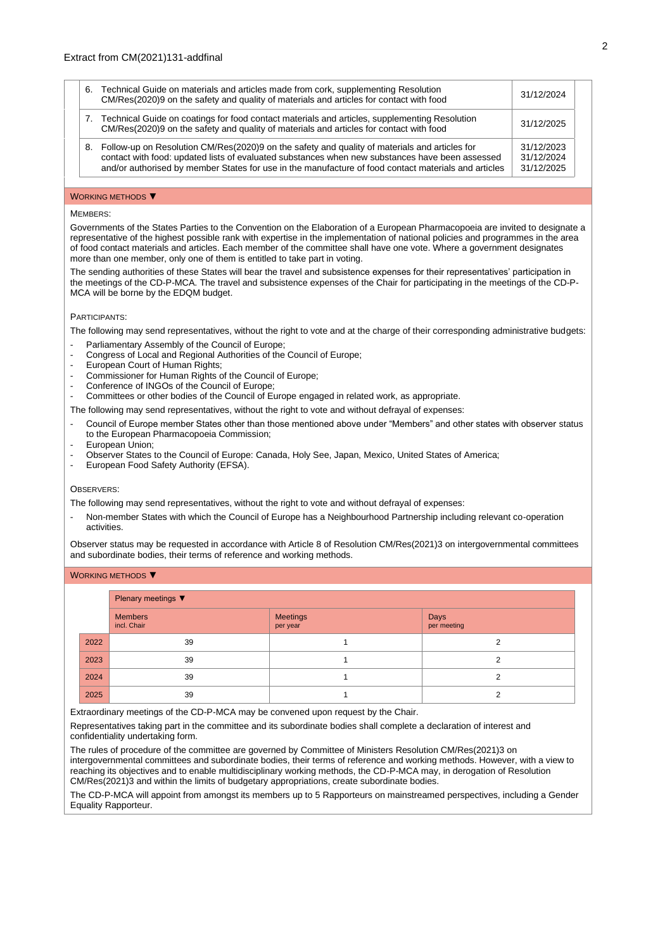| 6. | Technical Guide on materials and articles made from cork, supplementing Resolution<br>CM/Res(2020)9 on the safety and quality of materials and articles for contact with food                                                                                                                                  | 31/12/2024                             |
|----|----------------------------------------------------------------------------------------------------------------------------------------------------------------------------------------------------------------------------------------------------------------------------------------------------------------|----------------------------------------|
|    | Technical Guide on coatings for food contact materials and articles, supplementing Resolution<br>7.<br>CM/Res(2020)9 on the safety and quality of materials and articles for contact with food                                                                                                                 | 31/12/2025                             |
|    | Follow-up on Resolution CM/Res(2020)9 on the safety and quality of materials and articles for<br>8.<br>contact with food: updated lists of evaluated substances when new substances have been assessed<br>and/or authorised by member States for use in the manufacture of food contact materials and articles | 31/12/2023<br>31/12/2024<br>31/12/2025 |

#### WORKING METHODS ▼

## MEMBERS:

Governments of the States Parties to the Convention on the Elaboration of a European Pharmacopoeia are invited to designate a representative of the highest possible rank with expertise in the implementation of national policies and programmes in the area of food contact materials and articles. Each member of the committee shall have one vote. Where a government designates more than one member, only one of them is entitled to take part in voting.

The sending authorities of these States will bear the travel and subsistence expenses for their representatives' participation in the meetings of the CD-P-MCA. The travel and subsistence expenses of the Chair for participating in the meetings of the CD-P-MCA will be borne by the EDQM budget.

## PARTICIPANTS:

The following may send representatives, without the right to vote and at the charge of their corresponding administrative budgets:

- Parliamentary Assembly of the Council of Europe;
- Congress of Local and Regional Authorities of the Council of Europe;
- European Court of Human Rights;
- Commissioner for Human Rights of the Council of Europe;
- Conference of INGOs of the Council of Europe;
- Committees or other bodies of the Council of Europe engaged in related work, as appropriate.
- The following may send representatives, without the right to vote and without defrayal of expenses:
- Council of Europe member States other than those mentioned above under "Members" and other states with observer status to the European Pharmacopoeia Commission;
- European Union:
- Observer States to the Council of Europe: Canada, Holy See, Japan, Mexico, United States of America;
- European Food Safety Authority (EFSA).

### OBSERVERS<sup>.</sup>

The following may send representatives, without the right to vote and without defrayal of expenses:

- Non-member States with which the Council of Europe has a Neighbourhood Partnership including relevant co-operation activities.

Observer status may be requested in accordance with Article 8 of Resolution CM/Res(2021)3 on intergovernmental committees and subordinate bodies, their terms of reference and working methods.

| <b>WORKING METHODS</b> |
|------------------------|
|------------------------|

|      | Plenary meetings ▼            |                             |                     |  |  |  |
|------|-------------------------------|-----------------------------|---------------------|--|--|--|
|      | <b>Members</b><br>incl. Chair | <b>Meetings</b><br>per year | Days<br>per meeting |  |  |  |
| 2022 | 39                            |                             | ◠                   |  |  |  |
| 2023 | 39                            |                             | 2                   |  |  |  |
| 2024 | 39                            |                             | $\sqrt{2}$          |  |  |  |
| 2025 | 39                            |                             | ◠                   |  |  |  |

Extraordinary meetings of the CD-P-MCA may be convened upon request by the Chair.

Representatives taking part in the committee and its subordinate bodies shall complete a declaration of interest and confidentiality undertaking form.

The rules of procedure of the committee are governed by Committee of Ministers Resolutio[n CM/Res\(2021\)3](https://search.coe.int/cm/Pages/result_details.aspx?Reference=CM/Res(2011)24) on intergovernmental committees and subordinate bodies, their terms of reference and working methods. However, with a view to reaching its objectives and to enable multidisciplinary working methods, the CD-P-MCA may, in derogation of Resolution [CM/Res\(2021\)3](https://search.coe.int/cm/Pages/result_details.aspx?Reference=CM/Res(2011)24) and within the limits of budgetary appropriations, create subordinate bodies.

The CD-P-MCA will appoint from amongst its members up to 5 Rapporteurs on mainstreamed perspectives, including a Gender Equality Rapporteur.